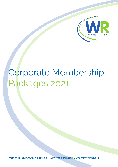

# Corporate Membership Packages 2021

**Women in Rail | Charity No. 1167835 | W: womeninrail.org | E: wr@womeninrail.org**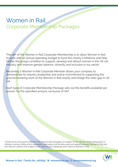## Women in Rail Corporate Membership Packages

The aim of the Women in Rail Corporate Membership is to allow Women in Rail to work with an annual operating budget to fund the charity's initiatives and help further the group's ambition to support, develop and attract women in the UK rail industry and improve gender balance, diversity and inclusion in our sector.

Becoming a Women in Rail Corporate Member allows your company to demonstrate its industry leadership and active commitment to supporting the ground-breaking work of the Women in Rail charity and bridge the skills gap in UK rail.

Each type of Corporate Membership Package sets out the benefits available per annum, for the specified amount, exclusive of VAT.

\*All discounts and spaces offered in the sponsorship packages are subject to the relevant event taking place or initiative running, failing which reasonable alternatives will be discussed and agreed between Women in Rail and the relevant sponsor and subject to the sponsor prior adequate prior notice to Women in Rail.



**Women in Rail | Charity No. 1167835 | W: womeninrail.org | E: wr@womeninrail.org**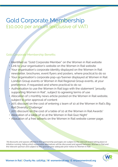### Gold Corporate Membership £10,000 per annum (exclusive of VAT)

#### Gold Corporate Membership Benefits:

- Identified as "Gold Corporate Member" on the Women in Rail website
- Link to your organisation's website on the Women in Rail website
- Your organisation's corporate identity displayed on the Women in Rail newsletter, brochures, event flyers and posters, where practical to do so
- Your organisation's corporate pop-up/banner displayed at Women in Rail London Group events or Women in Rail Regional Group events, at your preference, if requested and where practical to do so
- Authorisation to use the Women in Rail logo with the statement "proudly supporting Women in Rail", subject to agreeing terms of use
- Allocation of 1 monthly news article posted on the Women in Rail website, subject to prior approval of content
- 20% discount on the cost of entering 1 team of 10 at the Women in Rail's Big Rail Diversity Challenge\*
- 20% discount on the cost of a table of 10 at the Women in Rail Awards\*
- Allocation of a table of 10 at the Women in Rail Quiz Night\*
- Allocation of 4 free adverts on the Women in Rail website career page.

\*All discounts and spaces offered in the sponsorship packages are subject to the relevant event taking place or initiative running, failing which reasonable alternatives will be discussed and agreed between Women in Rail and the relevant sponsor and subject to the sponsor prior adequate prior notice to Women in Rail.

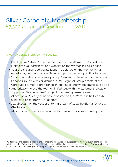### Silver Corporate Membership £7,500 per annum (exclusive of VAT)

#### Silver Corporate Membership Benefits:

- Identified as "Silver Corporate Member" on the Women in Rail website
- Link to the your organisation's website on the Women in Rail website
- Your organisation's corporate identity displayed on the Women in Rail newsletter, brochures, event flyers and posters, where practical to do so
- Your organisation's corporate pop-up/banner displayed at Women in Rail London Group events or Women in Rail Regional Group events, at the Corporate Member's preference, if requested and where practical to do so
- Authorisation to use the Women in Rail logo with the statement "proudly supporting Women in Rail", subject to agreeing terms of use
- Alloca<mark>tio</mark>n of 2 yearly news article posted on the Women in Rail website, subject to prior approval of content
- 10% discount on the cost of entering 1 team of 10 at the Big Rail Diversity Challenge<sup>\*</sup>.
- Allocation of 2 free adverts on the Women in Rail website career page.

\*All discounts and spaces offered in the sponsorship packages are subject to the relevant event taking place or initiative running, failing which reasonable alternatives will be discussed and agreed between Women in Rail and the relevant sponsor and subject to the sponsor prior adequate prior notice to Women in Rail.

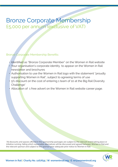### Bronze Corporate Membership £5,000 per annum (exclusive of VAT)

#### Bronze Corporate Membership Benefits:

- Identified as "Bronze Corporate Member" on the Women in Rail website
- Your organisation's corporate identity to appear on the Women in Rail newsletter and brochures
- Authorisation to use the Women in Rail logo with the statement "proudly supporting Women in Rail", subject to agreeing terms of use
- 5% discount on the cost of entering 1 team of 10 at the Big Rail Diversity Challenge<sup>\*</sup>
- Allocation of 1 free advert on the Women in Rail website career page.

\*All discounts and spaces offered in the sponsorship packages are subject to the relevant event taking place or initiative running, failing which reasonable alternatives will be discussed and agreed between Women in Rail and the relevant sponsor and subject to the sponsor prior adequate prior notice to Women in Rail.

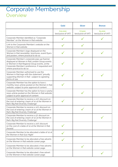# Corporate Membership **Overview**

|                                                                                                                                                                                                                               | Gold                          | <b>Silver</b>                | <b>Bronze</b>                |
|-------------------------------------------------------------------------------------------------------------------------------------------------------------------------------------------------------------------------------|-------------------------------|------------------------------|------------------------------|
|                                                                                                                                                                                                                               | £10,000<br>(exclusive of VAT) | £7,500<br>(exclusive of VAT) | £5,000<br>(exclusive of VAT) |
| Corporate Member identified as "Corporate<br>Member" on the Women in Rail website                                                                                                                                             |                               |                              |                              |
| Link to the Corporate Member's website on the<br>Women in Rail website                                                                                                                                                        |                               |                              |                              |
| Corporate Member's logo displayed on the<br>Women in Rail newsletter, brochures, event flyers<br>and posters, where practical to do so                                                                                        |                               |                              |                              |
| Corporate Member's corporate pop-up/banner<br>displayed at Women in Rail London Group events<br>or Women in Rail Regional Group events, at the<br>Corporate Member's preference, if requested and<br>where practical to do so |                               |                              |                              |
| Corporate Member authorised to use the<br>Women in Rail logo with the statement "proudly<br>supporting Women in Rail", subject to agreeing<br>terms of use                                                                    |                               |                              |                              |
| Corporate Member has the option to have 1<br>monthly news article posted on the Women in Rail<br>website, subject to prior approval of content                                                                                |                               |                              |                              |
| Corporate Member has the option to have 2 yearly<br>news article posted on the Women in Rail website,<br>subject to prior approval of content                                                                                 |                               |                              |                              |
| Corporate Member to receive a 20% discount on<br>the cost of entering 1 team of 10 at the Women in<br>Rail's Big Rail Diversity Challenge*                                                                                    |                               |                              |                              |
| Corporate Member to receive a 10% discount on<br>the cost of entering 1 team of 10 at the Women in<br>Rail's Big Rail Diversity Challenge*                                                                                    |                               |                              |                              |
| Corporate Member to receive a 5% discount on<br>the cost of entering 1 team of 10 at the Women in<br>Rail's Big Rail Diversity Challenge*                                                                                     |                               |                              |                              |
| Corporate Member to receive a 20% discount<br>on the cost of a table of 10 at the Women in Rail<br>Awards*                                                                                                                    |                               |                              |                              |
| Corporate Member to be allocated a table of 10 at<br>the Women in Rail Quiz Night*                                                                                                                                            |                               |                              |                              |
| Corporate Member to be allocated 4 free adverts<br>on the Women in Rail website career page.                                                                                                                                  |                               |                              |                              |
| Corporate Member to be allocated 2 free adverts<br>on the Women in Rail website career page.                                                                                                                                  |                               |                              |                              |
| Corporate Member to be allocated 1 free advert<br>on the Women in Rail website career page.                                                                                                                                   |                               |                              |                              |